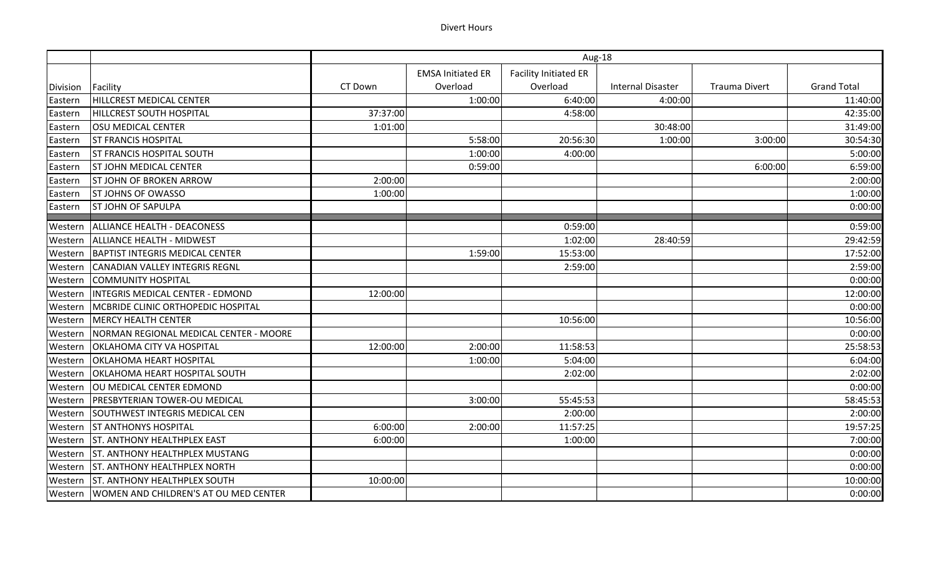## Divert Hours

|                 |                                                 | Aug-18   |                          |                              |                          |                      |                    |
|-----------------|-------------------------------------------------|----------|--------------------------|------------------------------|--------------------------|----------------------|--------------------|
|                 |                                                 |          | <b>EMSA Initiated ER</b> | <b>Facility Initiated ER</b> |                          |                      |                    |
| <b>Division</b> | Facility                                        | CT Down  | Overload                 | Overload                     | <b>Internal Disaster</b> | <b>Trauma Divert</b> | <b>Grand Total</b> |
| Eastern         | HILLCREST MEDICAL CENTER                        |          | 1:00:00                  | 6:40:00                      | 4:00:00                  |                      | 11:40:00           |
| Eastern         | <b>HILLCREST SOUTH HOSPITAL</b>                 | 37:37:00 |                          | 4:58:00                      |                          |                      | 42:35:00           |
| Eastern         | <b>OSU MEDICAL CENTER</b>                       | 1:01:00  |                          |                              | 30:48:00                 |                      | 31:49:00           |
| Eastern         | <b>ST FRANCIS HOSPITAL</b>                      |          | 5:58:00                  | 20:56:30                     | 1:00:00                  | 3:00:00              | 30:54:30           |
| Eastern         | <b>ST FRANCIS HOSPITAL SOUTH</b>                |          | 1:00:00                  | 4:00:00                      |                          |                      | 5:00:00            |
| Eastern         | <b>ST JOHN MEDICAL CENTER</b>                   |          | 0:59:00                  |                              |                          | 6:00:00              | 6:59:00            |
| Eastern         | <b>ST JOHN OF BROKEN ARROW</b>                  | 2:00:00  |                          |                              |                          |                      | 2:00:00            |
| Eastern         | <b>ST JOHNS OF OWASSO</b>                       | 1:00:00  |                          |                              |                          |                      | 1:00:00            |
| Eastern         | <b>ST JOHN OF SAPULPA</b>                       |          |                          |                              |                          |                      | 0:00:00            |
| Western         | ALLIANCE HEALTH - DEACONESS                     |          |                          | 0:59:00                      |                          |                      | 0:59:00            |
| Western         | ALLIANCE HEALTH - MIDWEST                       |          |                          | 1:02:00                      | 28:40:59                 |                      | 29:42:59           |
| Western         | BAPTIST INTEGRIS MEDICAL CENTER                 |          | 1:59:00                  | 15:53:00                     |                          |                      | 17:52:00           |
| Western         | CANADIAN VALLEY INTEGRIS REGNL                  |          |                          | 2:59:00                      |                          |                      | 2:59:00            |
| Western         | <b>COMMUNITY HOSPITAL</b>                       |          |                          |                              |                          |                      | 0:00:00            |
| Western         | INTEGRIS MEDICAL CENTER - EDMOND                | 12:00:00 |                          |                              |                          |                      | 12:00:00           |
| Western         | MCBRIDE CLINIC ORTHOPEDIC HOSPITAL              |          |                          |                              |                          |                      | 0:00:00            |
| Western         | <b>MERCY HEALTH CENTER</b>                      |          |                          | 10:56:00                     |                          |                      | 10:56:00           |
| Western         | NORMAN REGIONAL MEDICAL CENTER - MOORE          |          |                          |                              |                          |                      | 0:00:00            |
| Western         | OKLAHOMA CITY VA HOSPITAL                       | 12:00:00 | 2:00:00                  | 11:58:53                     |                          |                      | 25:58:53           |
| Western         | <b>OKLAHOMA HEART HOSPITAL</b>                  |          | 1:00:00                  | 5:04:00                      |                          |                      | 6:04:00            |
| Western         | OKLAHOMA HEART HOSPITAL SOUTH                   |          |                          | 2:02:00                      |                          |                      | 2:02:00            |
| Western         | OU MEDICAL CENTER EDMOND                        |          |                          |                              |                          |                      | 0:00:00            |
| Western         | <b>PRESBYTERIAN TOWER-OU MEDICAL</b>            |          | 3:00:00                  | 55:45:53                     |                          |                      | 58:45:53           |
| Western         | SOUTHWEST INTEGRIS MEDICAL CEN                  |          |                          | 2:00:00                      |                          |                      | 2:00:00            |
| Western         | <b>ST ANTHONYS HOSPITAL</b>                     | 6:00:00  | 2:00:00                  | 11:57:25                     |                          |                      | 19:57:25           |
| Western         | <b>ST. ANTHONY HEALTHPLEX EAST</b>              | 6:00:00  |                          | 1:00:00                      |                          |                      | 7:00:00            |
| Western         | <b>ST. ANTHONY HEALTHPLEX MUSTANG</b>           |          |                          |                              |                          |                      | 0:00:00            |
| Western         | <b>ST. ANTHONY HEALTHPLEX NORTH</b>             |          |                          |                              |                          |                      | 0:00:00            |
| Western         | <b>ST. ANTHONY HEALTHPLEX SOUTH</b>             | 10:00:00 |                          |                              |                          |                      | 10:00:00           |
|                 | Western   WOMEN AND CHILDREN'S AT OU MED CENTER |          |                          |                              |                          |                      | 0:00:00            |